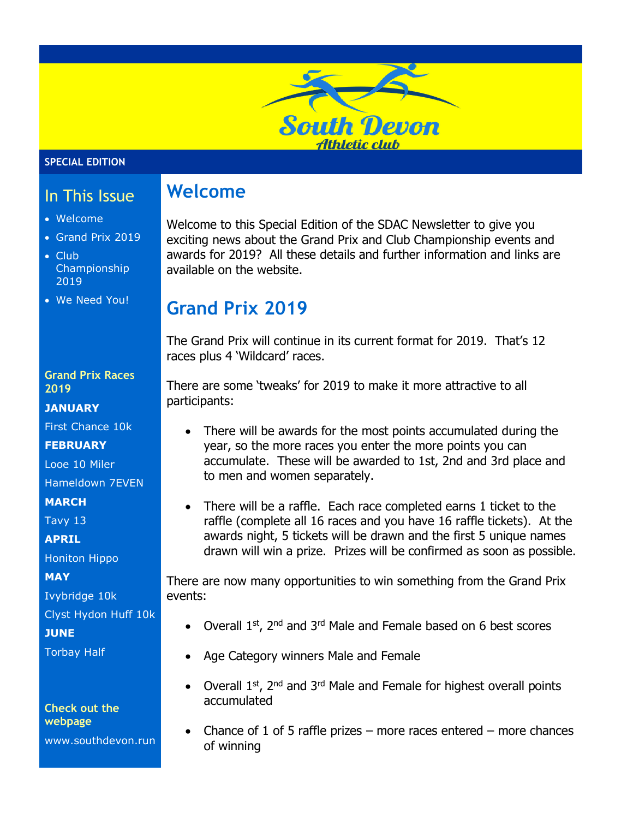# **South Devon Athletic club**

#### **SPECIAL EDITION**

## In This Issue

- Welcome
- Grand Prix 2019
- Club Championship 2019
- We Need You!

#### **Grand Prix Races 2019**

#### **JANUARY**

First Chance 10k

#### **FEBRUARY**

Looe 10 Miler Hameldown 7EVEN

**MARCH**

Tavy 13

**APRIL**

Honiton Hippo

**MAY**

Ivybridge 10k

Clyst Hydon Huff 10k

**JUNE**

Torbay Half

#### **Check out the webpage**

www.southdevon.run

# **Welcome**

Welcome to this Special Edition of the SDAC Newsletter to give you exciting news about the Grand Prix and Club Championship events and awards for 2019? All these details and further information and links are available on the website.

# **Grand Prix 2019**

The Grand Prix will continue in its current format for 2019. That's 12 races plus 4 'Wildcard' races.

There are some 'tweaks' for 2019 to make it more attractive to all participants:

- There will be awards for the most points accumulated during the year, so the more races you enter the more points you can accumulate. These will be awarded to 1st, 2nd and 3rd place and to men and women separately.
- There will be a raffle. Each race completed earns 1 ticket to the raffle (complete all 16 races and you have 16 raffle tickets). At the awards night, 5 tickets will be drawn and the first 5 unique names drawn will win a prize. Prizes will be confirmed as soon as possible.

There are now many opportunities to win something from the Grand Prix events:

- Overall 1<sup>st</sup>, 2<sup>nd</sup> and 3<sup>rd</sup> Male and Female based on 6 best scores
- Age Category winners Male and Female
- Overall  $1^{st}$ ,  $2^{nd}$  and  $3^{rd}$  Male and Female for highest overall points accumulated
- Chance of 1 of 5 raffle prizes more races entered more chances of winning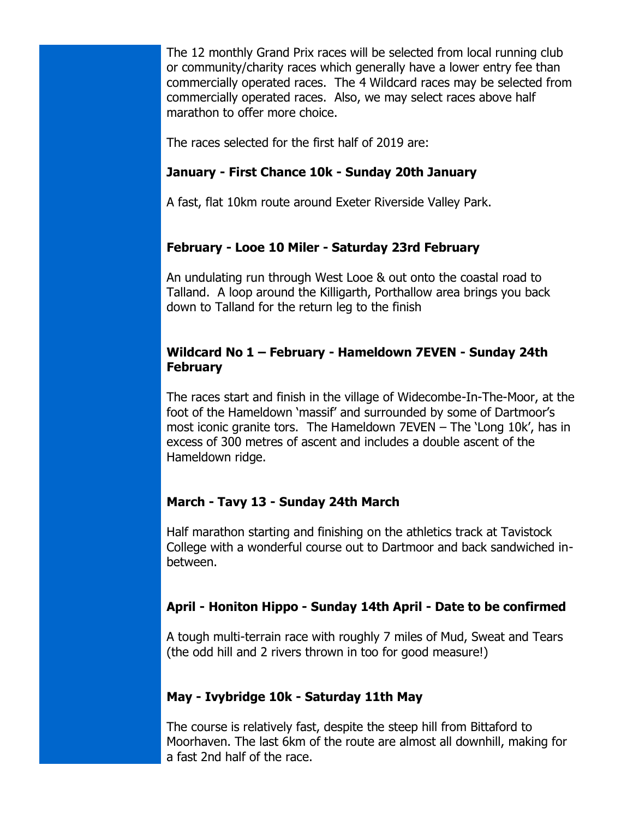The 12 monthly Grand Prix races will be selected from local running club or community/charity races which generally have a lower entry fee than commercially operated races. The 4 Wildcard races may be selected from commercially operated races. Also, we may select races above half marathon to offer more choice.

The races selected for the first half of 2019 are:

## **January - First Chance 10k - Sunday 20th January**

A fast, flat 10km route around Exeter Riverside Valley Park.

## **February - Looe 10 Miler - Saturday 23rd February**

An undulating run through West Looe & out onto the coastal road to Talland. A loop around the Killigarth, Porthallow area brings you back down to Talland for the return leg to the finish

### **Wildcard No 1 – February - Hameldown 7EVEN - Sunday 24th February**

The races start and finish in the village of Widecombe-In-The-Moor, at the foot of the Hameldown 'massif' and surrounded by some of Dartmoor's most iconic granite tors. The Hameldown 7EVEN – The 'Long 10k', has in excess of 300 metres of ascent and includes a double ascent of the Hameldown ridge.

## **March - Tavy 13 - Sunday 24th March**

Half marathon starting and finishing on the athletics track at Tavistock College with a wonderful course out to Dartmoor and back sandwiched inbetween.

## **April - Honiton Hippo - Sunday 14th April - Date to be confirmed**

A tough multi-terrain race with roughly 7 miles of Mud, Sweat and Tears (the odd hill and 2 rivers thrown in too for good measure!)

#### **May - Ivybridge 10k - Saturday 11th May**

The course is relatively fast, despite the steep hill from Bittaford to Moorhaven. The last 6km of the route are almost all downhill, making for a fast 2nd half of the race.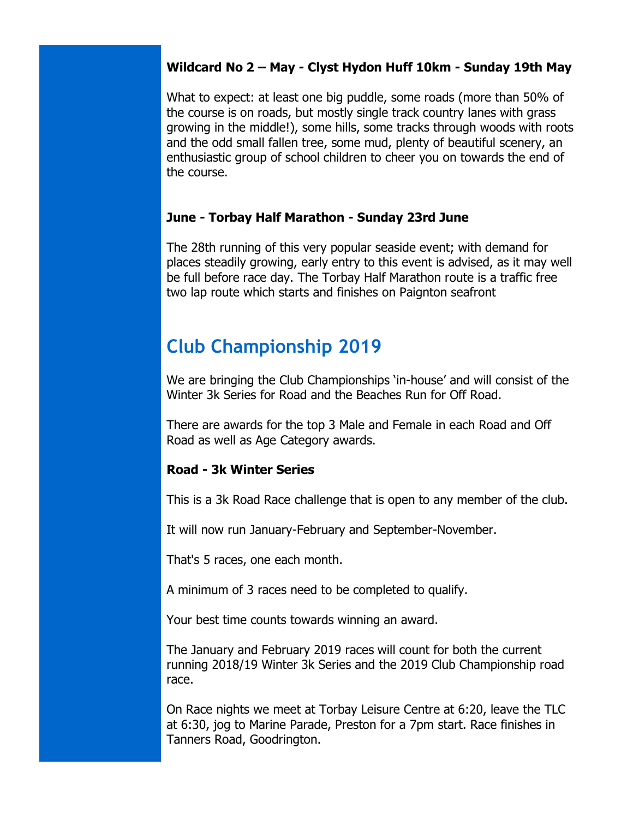#### **Wildcard No 2 – May - Clyst Hydon Huff 10km - Sunday 19th May**

What to expect: at least one big puddle, some roads (more than 50% of the course is on roads, but mostly single track country lanes with grass growing in the middle!), some hills, some tracks through woods with roots and the odd small fallen tree, some mud, plenty of beautiful scenery, an enthusiastic group of school children to cheer you on towards the end of the course.

#### **June - Torbay Half Marathon - Sunday 23rd June**

The 28th running of this very popular seaside event; with demand for places steadily growing, early entry to this event is advised, as it may well be full before race day. The Torbay Half Marathon route is a traffic free two lap route which starts and finishes on Paignton seafront

# **Club Championship 2019**

We are bringing the Club Championships 'in-house' and will consist of the Winter 3k Series for Road and the Beaches Run for Off Road.

There are awards for the top 3 Male and Female in each Road and Off Road as well as Age Category awards.

#### **Road - 3k Winter Series**

This is a 3k Road Race challenge that is open to any member of the club.

It will now run January-February and September-November.

That's 5 races, one each month.

A minimum of 3 races need to be completed to qualify.

Your best time counts towards winning an award.

The January and February 2019 races will count for both the current running 2018/19 Winter 3k Series and the 2019 Club Championship road race.

On Race nights we meet at Torbay Leisure Centre at 6:20, leave the TLC at 6:30, jog to Marine Parade, Preston for a 7pm start. Race finishes in Tanners Road, Goodrington.